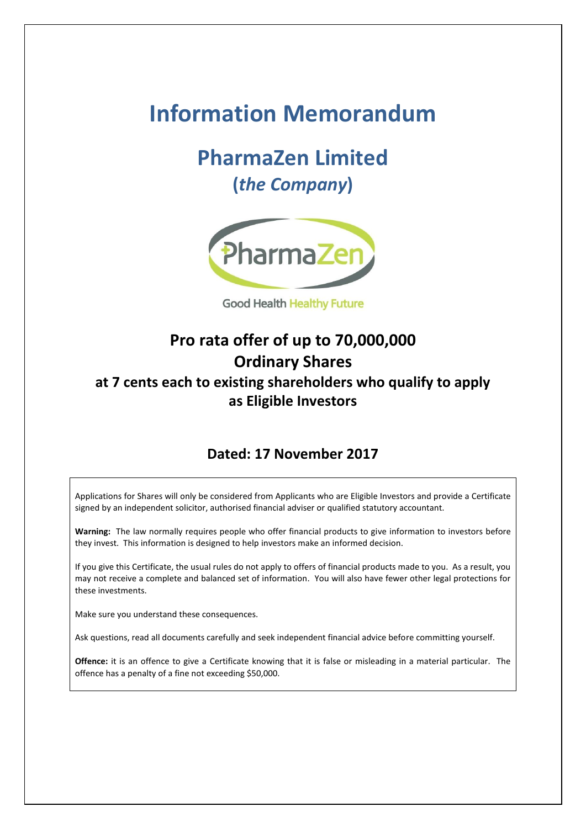# **Information Memorandum**

# **PharmaZen Limited (***the Company***)**



**Good Health Healthy Future** 

# **Pro rata offer of up to 70,000,000 Ordinary Shares at 7 cents each to existing shareholders who qualify to apply as Eligible Investors**

## **Dated: 17 November 2017**

Applications for Shares will only be considered from Applicants who are Eligible Investors and provide a Certificate signed by an independent solicitor, authorised financial adviser or qualified statutory accountant.

**Warning:** The law normally requires people who offer financial products to give information to investors before they invest. This information is designed to help investors make an informed decision.

If you give this Certificate, the usual rules do not apply to offers of financial products made to you. As a result, you may not receive a complete and balanced set of information. You will also have fewer other legal protections for these investments.

Make sure you understand these consequences.

Ask questions, read all documents carefully and seek independent financial advice before committing yourself.

**Offence:** it is an offence to give a Certificate knowing that it is false or misleading in a material particular. The offence has a penalty of a fine not exceeding \$50,000.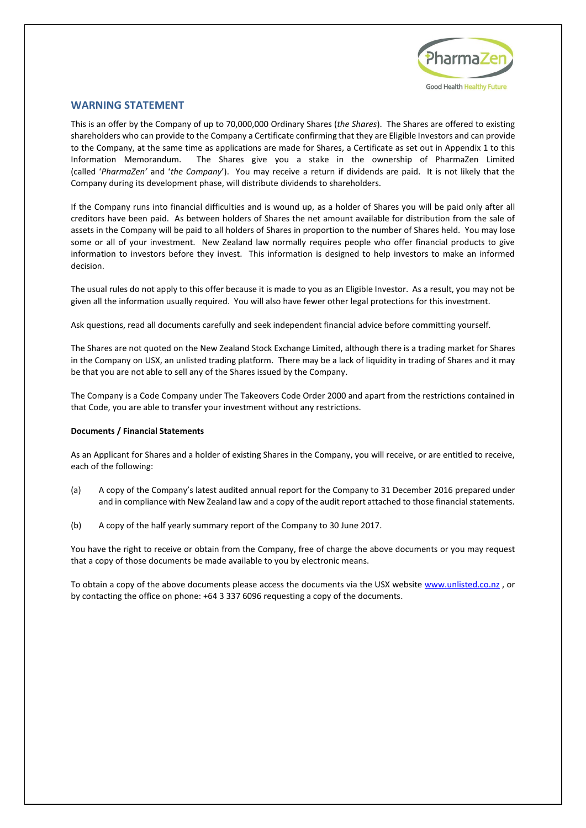

#### <span id="page-1-0"></span>**WARNING STATEMENT**

This is an offer by the Company of up to 70,000,000 Ordinary Shares (*the Shares*). The Shares are offered to existing shareholders who can provide to the Company a Certificate confirming that they are Eligible Investors and can provide to the Company, at the same time as applications are made for Shares, a Certificate as set out in Appendix 1 to this Information Memorandum. The Shares give you a stake in the ownership of PharmaZen Limited (called '*PharmaZen'* and '*the Company*'). You may receive a return if dividends are paid. It is not likely that the Company during its development phase, will distribute dividends to shareholders.

If the Company runs into financial difficulties and is wound up, as a holder of Shares you will be paid only after all creditors have been paid. As between holders of Shares the net amount available for distribution from the sale of assets in the Company will be paid to all holders of Shares in proportion to the number of Shares held. You may lose some or all of your investment. New Zealand law normally requires people who offer financial products to give information to investors before they invest. This information is designed to help investors to make an informed decision.

The usual rules do not apply to this offer because it is made to you as an Eligible Investor. As a result, you may not be given all the information usually required. You will also have fewer other legal protections for this investment.

Ask questions, read all documents carefully and seek independent financial advice before committing yourself.

The Shares are not quoted on the New Zealand Stock Exchange Limited, although there is a trading market for Shares in the Company on USX, an unlisted trading platform. There may be a lack of liquidity in trading of Shares and it may be that you are not able to sell any of the Shares issued by the Company.

The Company is a Code Company under The Takeovers Code Order 2000 and apart from the restrictions contained in that Code, you are able to transfer your investment without any restrictions.

#### **Documents / Financial Statements**

As an Applicant for Shares and a holder of existing Shares in the Company, you will receive, or are entitled to receive, each of the following:

- (a) A copy of the Company's latest audited annual report for the Company to 31 December 2016 prepared under and in compliance with New Zealand law and a copy of the audit report attached to those financial statements.
- (b) A copy of the half yearly summary report of the Company to 30 June 2017.

You have the right to receive or obtain from the Company, free of charge the above documents or you may request that a copy of those documents be made available to you by electronic means.

To obtain a copy of the above documents please access the documents via the USX website [www.unlisted.co.nz](http://www.unlisted.co.nz/), or by contacting the office on phone: +64 3 337 6096 requesting a copy of the documents.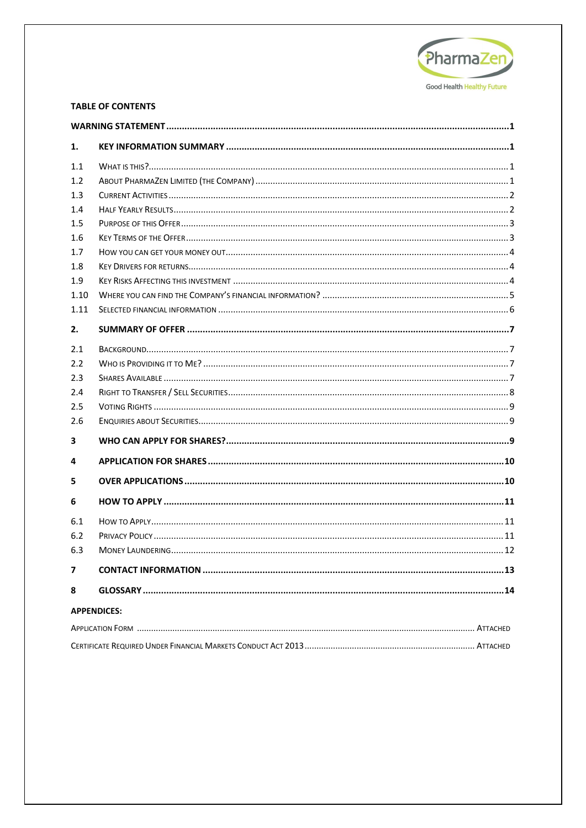

## **TABLE OF CONTENTS**

| 1.   |                    |  |
|------|--------------------|--|
| 1.1  |                    |  |
| 1.2  |                    |  |
| 1.3  |                    |  |
| 1.4  |                    |  |
| 1.5  |                    |  |
| 1.6  |                    |  |
| 1.7  |                    |  |
| 1.8  |                    |  |
| 1.9  |                    |  |
| 1.10 |                    |  |
| 1.11 |                    |  |
| 2.   |                    |  |
| 2.1  |                    |  |
| 2.2  |                    |  |
| 2.3  |                    |  |
| 2.4  |                    |  |
| 2.5  |                    |  |
| 2.6  |                    |  |
| 3    |                    |  |
| 4    |                    |  |
| 5    |                    |  |
| 6    |                    |  |
| 6.1  |                    |  |
| 6.2  |                    |  |
| 6.3  |                    |  |
| 7    |                    |  |
| 8    |                    |  |
|      | <b>APPENDICES:</b> |  |
|      |                    |  |
|      |                    |  |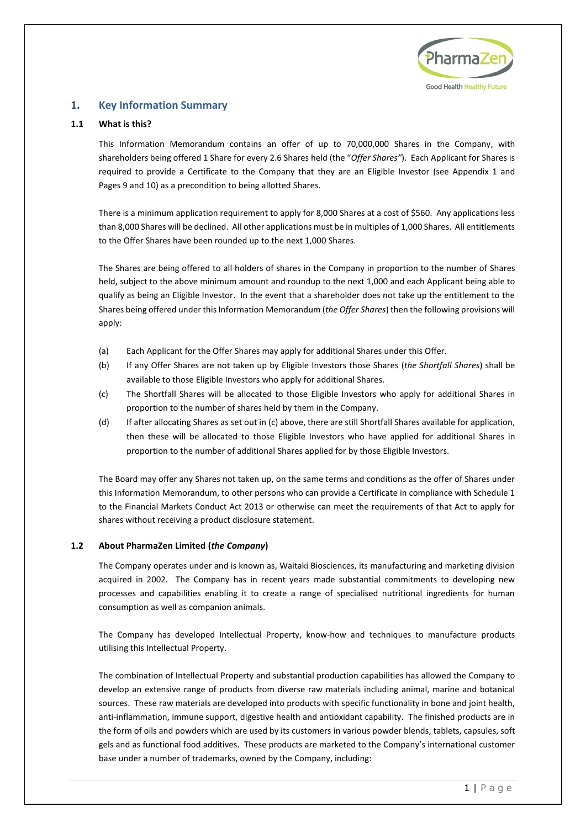

## <span id="page-3-0"></span>**1. Key Information Summary**

## <span id="page-3-1"></span>**1.1 What is this?**

This Information Memorandum contains an offer of up to 70,000,000 Shares in the Company, with shareholders being offered 1 Share for every 2.6 Shares held (the "*Offer Shares"*). Each Applicant for Shares is required to provide a Certificate to the Company that they are an Eligible Investor (see Appendix 1 and Pages [9](#page-11-2) an[d 10\)](#page-12-2) as a precondition to being allotted Shares.

There is a minimum application requirement to apply for 8,000 Shares at a cost of \$560. Any applications less than 8,000 Shares will be declined. All other applications must be in multiples of 1,000 Shares. All entitlements to the Offer Shares have been rounded up to the next 1,000 Shares.

The Shares are being offered to all holders of shares in the Company in proportion to the number of Shares held, subject to the above minimum amount and roundup to the next 1,000 and each Applicant being able to qualify as being an Eligible Investor. In the event that a shareholder does not take up the entitlement to the Shares being offered under this Information Memorandum (*the Offer Shares*) then the following provisions will apply:

- (a) Each Applicant for the Offer Shares may apply for additional Shares under this Offer.
- (b) If any Offer Shares are not taken up by Eligible Investors those Shares (*the Shortfall Shares*) shall be available to those Eligible Investors who apply for additional Shares.
- (c) The Shortfall Shares will be allocated to those Eligible Investors who apply for additional Shares in proportion to the number of shares held by them in the Company.
- (d) If after allocating Shares as set out in (c) above, there are still Shortfall Shares available for application, then these will be allocated to those Eligible Investors who have applied for additional Shares in proportion to the number of additional Shares applied for by those Eligible Investors.

The Board may offer any Shares not taken up, on the same terms and conditions as the offer of Shares under this Information Memorandum, to other persons who can provide a Certificate in compliance with Schedule 1 to the Financial Markets Conduct Act 2013 or otherwise can meet the requirements of that Act to apply for shares without receiving a product disclosure statement.

## <span id="page-3-2"></span>**1.2 About PharmaZen Limited (***the Company***)**

The Company operates under and is known as, Waitaki Biosciences, its manufacturing and marketing division acquired in 2002. The Company has in recent years made substantial commitments to developing new processes and capabilities enabling it to create a range of specialised nutritional ingredients for human consumption as well as companion animals.

The Company has developed Intellectual Property, know-how and techniques to manufacture products utilising this Intellectual Property.

The combination of Intellectual Property and substantial production capabilities has allowed the Company to develop an extensive range of products from diverse raw materials including animal, marine and botanical sources. These raw materials are developed into products with specific functionality in bone and joint health, anti-inflammation, immune support, digestive health and antioxidant capability. The finished products are in the form of oils and powders which are used by its customers in various powder blends, tablets, capsules, soft gels and as functional food additives. These products are marketed to the Company's international customer base under a number of trademarks, owned by the Company, including: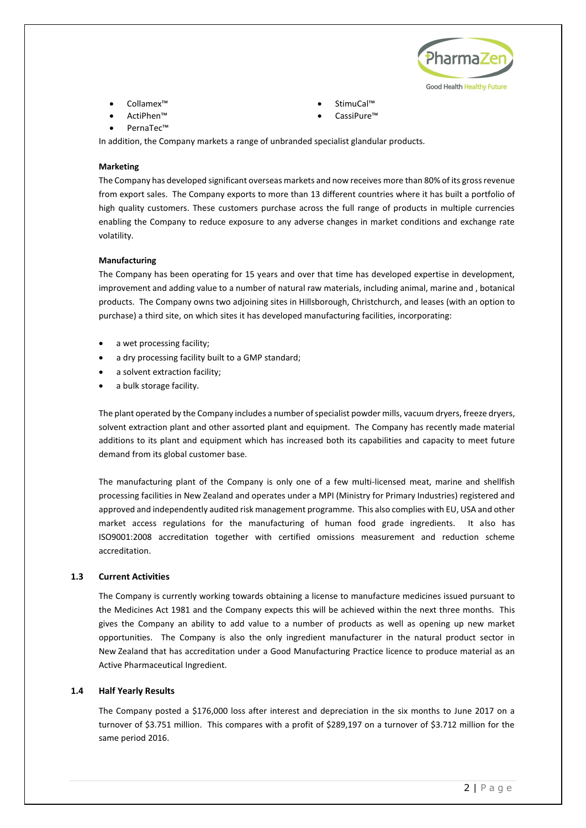

- Collamex™ StimuCal™
- ActiPhen™ CassiPure™
- PernaTec™

In addition, the Company markets a range of unbranded specialist glandular products.

#### **Marketing**

The Company has developed significant overseas markets and now receives more than 80% of its gross revenue from export sales. The Company exports to more than 13 different countries where it has built a portfolio of high quality customers. These customers purchase across the full range of products in multiple currencies enabling the Company to reduce exposure to any adverse changes in market conditions and exchange rate volatility.

#### **Manufacturing**

The Company has been operating for 15 years and over that time has developed expertise in development, improvement and adding value to a number of natural raw materials, including animal, marine and , botanical products. The Company owns two adjoining sites in Hillsborough, Christchurch, and leases (with an option to purchase) a third site, on which sites it has developed manufacturing facilities, incorporating:

- a wet processing facility;
- a dry processing facility built to a GMP standard;
- a solvent extraction facility;
- a bulk storage facility.

The plant operated by the Company includes a number of specialist powder mills, vacuum dryers, freeze dryers, solvent extraction plant and other assorted plant and equipment. The Company has recently made material additions to its plant and equipment which has increased both its capabilities and capacity to meet future demand from its global customer base.

The manufacturing plant of the Company is only one of a few multi-licensed meat, marine and shellfish processing facilities in New Zealand and operates under a MPI (Ministry for Primary Industries) registered and approved and independently audited risk management programme. This also complies with EU, USA and other market access regulations for the manufacturing of human food grade ingredients. It also has ISO9001:2008 accreditation together with certified omissions measurement and reduction scheme accreditation.

#### <span id="page-4-0"></span>**1.3 Current Activities**

The Company is currently working towards obtaining a license to manufacture medicines issued pursuant to the Medicines Act 1981 and the Company expects this will be achieved within the next three months. This gives the Company an ability to add value to a number of products as well as opening up new market opportunities. The Company is also the only ingredient manufacturer in the natural product sector in New Zealand that has accreditation under a Good Manufacturing Practice licence to produce material as an Active Pharmaceutical Ingredient.

#### <span id="page-4-1"></span>**1.4 Half Yearly Results**

The Company posted a \$176,000 loss after interest and depreciation in the six months to June 2017 on a turnover of \$3.751 million. This compares with a profit of \$289,197 on a turnover of \$3.712 million for the same period 2016.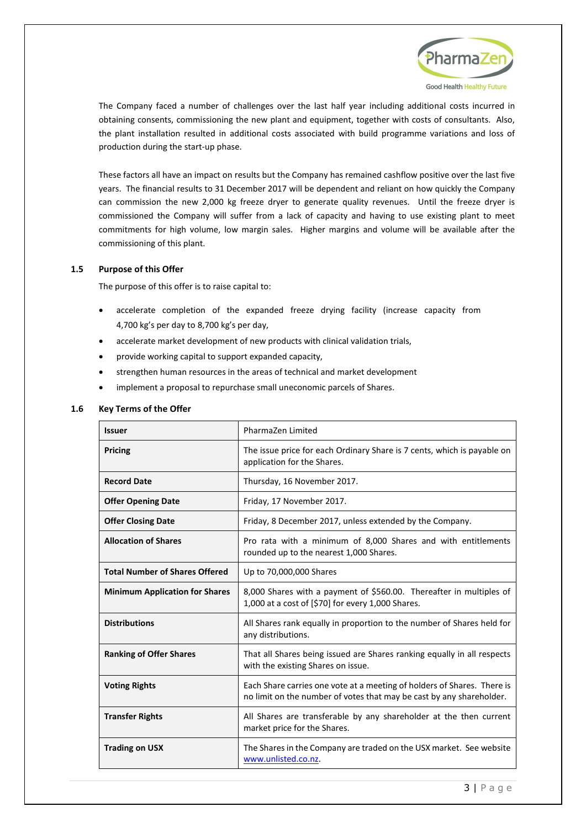

The Company faced a number of challenges over the last half year including additional costs incurred in obtaining consents, commissioning the new plant and equipment, together with costs of consultants. Also, the plant installation resulted in additional costs associated with build programme variations and loss of production during the start-up phase.

These factors all have an impact on results but the Company has remained cashflow positive over the last five years. The financial results to 31 December 2017 will be dependent and reliant on how quickly the Company can commission the new 2,000 kg freeze dryer to generate quality revenues. Until the freeze dryer is commissioned the Company will suffer from a lack of capacity and having to use existing plant to meet commitments for high volume, low margin sales. Higher margins and volume will be available after the commissioning of this plant.

#### <span id="page-5-0"></span>**1.5 Purpose of this Offer**

The purpose of this offer is to raise capital to:

- accelerate completion of the expanded freeze drying facility (increase capacity from 4,700 kg's per day to 8,700 kg's per day,
- accelerate market development of new products with clinical validation trials,
- provide working capital to support expanded capacity,
- strengthen human resources in the areas of technical and market development
- implement a proposal to repurchase small uneconomic parcels of Shares.

#### <span id="page-5-1"></span>**1.6 Key Terms of the Offer**

| <b>Issuer</b>                         | PharmaZen Limited                                                                                                                               |  |  |
|---------------------------------------|-------------------------------------------------------------------------------------------------------------------------------------------------|--|--|
| Pricing                               | The issue price for each Ordinary Share is 7 cents, which is payable on<br>application for the Shares.                                          |  |  |
| <b>Record Date</b>                    | Thursday, 16 November 2017.                                                                                                                     |  |  |
| <b>Offer Opening Date</b>             | Friday, 17 November 2017.                                                                                                                       |  |  |
| <b>Offer Closing Date</b>             | Friday, 8 December 2017, unless extended by the Company.                                                                                        |  |  |
| <b>Allocation of Shares</b>           | Pro rata with a minimum of 8,000 Shares and with entitlements<br>rounded up to the nearest 1,000 Shares.                                        |  |  |
| <b>Total Number of Shares Offered</b> | Up to 70,000,000 Shares                                                                                                                         |  |  |
| <b>Minimum Application for Shares</b> | 8,000 Shares with a payment of \$560.00. Thereafter in multiples of<br>1,000 at a cost of [\$70] for every 1,000 Shares.                        |  |  |
| <b>Distributions</b>                  | All Shares rank equally in proportion to the number of Shares held for<br>any distributions.                                                    |  |  |
| <b>Ranking of Offer Shares</b>        | That all Shares being issued are Shares ranking equally in all respects<br>with the existing Shares on issue.                                   |  |  |
| <b>Voting Rights</b>                  | Each Share carries one vote at a meeting of holders of Shares. There is<br>no limit on the number of votes that may be cast by any shareholder. |  |  |
| <b>Transfer Rights</b>                | All Shares are transferable by any shareholder at the then current<br>market price for the Shares.                                              |  |  |
| <b>Trading on USX</b>                 | The Shares in the Company are traded on the USX market. See website<br>www.unlisted.co.nz.                                                      |  |  |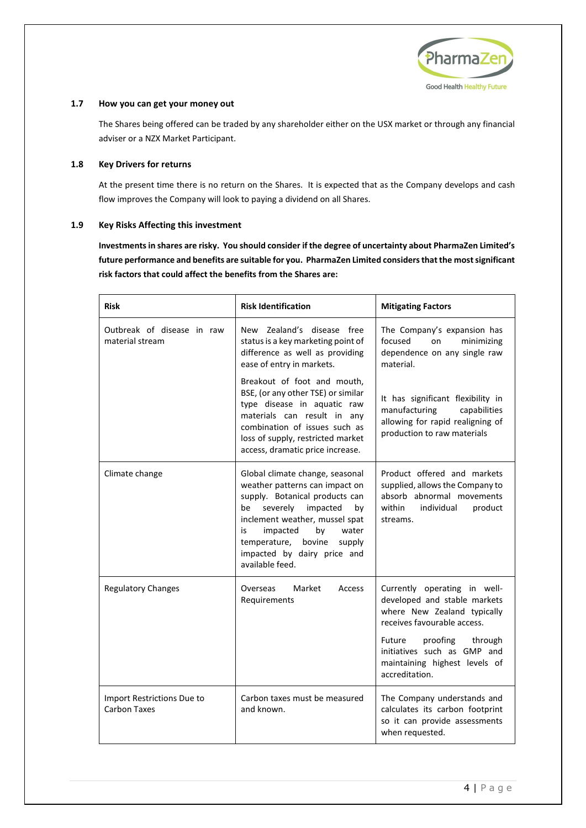

## <span id="page-6-0"></span>**1.7 How you can get your money out**

The Shares being offered can be traded by any shareholder either on the USX market or through any financial adviser or a NZX Market Participant.

#### <span id="page-6-1"></span>**1.8 Key Drivers for returns**

At the present time there is no return on the Shares. It is expected that as the Company develops and cash flow improves the Company will look to paying a dividend on all Shares.

## <span id="page-6-2"></span>**1.9 Key Risks Affecting this investment**

**Investments in shares are risky. You should consider if the degree of uncertainty about PharmaZen Limited's future performance and benefits are suitable for you. PharmaZen Limited considers that the most significant risk factors that could affect the benefits from the Shares are:**

| <b>Risk</b>                                   | <b>Risk Identification</b>                                                                                                                                                                                                                                                                       | <b>Mitigating Factors</b>                                                                                                                                                                                                                  |
|-----------------------------------------------|--------------------------------------------------------------------------------------------------------------------------------------------------------------------------------------------------------------------------------------------------------------------------------------------------|--------------------------------------------------------------------------------------------------------------------------------------------------------------------------------------------------------------------------------------------|
| Outbreak of disease in raw<br>material stream | New Zealand's disease free<br>status is a key marketing point of<br>difference as well as providing<br>ease of entry in markets.                                                                                                                                                                 | The Company's expansion has<br>focused<br>on<br>minimizing<br>dependence on any single raw<br>material.                                                                                                                                    |
|                                               | Breakout of foot and mouth,<br>BSE, (or any other TSE) or similar<br>type disease in aquatic raw<br>materials can result in any<br>combination of issues such as<br>loss of supply, restricted market<br>access, dramatic price increase.                                                        | It has significant flexibility in<br>manufacturing<br>capabilities<br>allowing for rapid realigning of<br>production to raw materials                                                                                                      |
| Climate change                                | Global climate change, seasonal<br>weather patterns can impact on<br>supply. Botanical products can<br>severely<br>impacted<br>be<br>by<br>inclement weather, mussel spat<br>by<br>impacted<br>water<br>is<br>temperature,<br>bovine<br>supply<br>impacted by dairy price and<br>available feed. | Product offered and markets<br>supplied, allows the Company to<br>absorb abnormal movements<br>within<br>individual<br>product<br>streams.                                                                                                 |
| <b>Regulatory Changes</b>                     | Overseas<br>Market<br>Access<br>Requirements                                                                                                                                                                                                                                                     | Currently operating in well-<br>developed and stable markets<br>where New Zealand typically<br>receives favourable access.<br>proofing through<br>Future<br>initiatives such as GMP and<br>maintaining highest levels of<br>accreditation. |
| Import Restrictions Due to<br>Carbon Taxes    | Carbon taxes must be measured<br>and known.                                                                                                                                                                                                                                                      | The Company understands and<br>calculates its carbon footprint<br>so it can provide assessments<br>when requested.                                                                                                                         |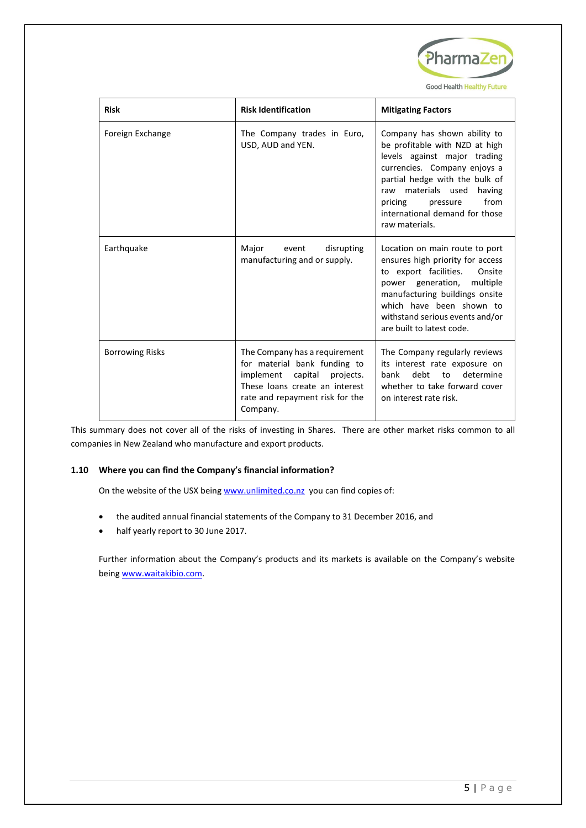

| <b>Risk</b>            | <b>Risk Identification</b>                                                                                                                                                    | <b>Mitigating Factors</b>                                                                                                                                                                                                                                                           |
|------------------------|-------------------------------------------------------------------------------------------------------------------------------------------------------------------------------|-------------------------------------------------------------------------------------------------------------------------------------------------------------------------------------------------------------------------------------------------------------------------------------|
| Foreign Exchange       | The Company trades in Euro,<br>USD, AUD and YEN.                                                                                                                              | Company has shown ability to<br>be profitable with NZD at high<br>levels against major trading<br>currencies. Company enjoys a<br>partial hedge with the bulk of<br>raw materials used<br>having<br>from<br>pricing<br>pressure<br>international demand for those<br>raw materials. |
| Earthquake             | Major<br>disrupting<br>event<br>manufacturing and or supply.                                                                                                                  | Location on main route to port<br>ensures high priority for access<br>to export facilities.<br>Onsite<br>power generation,<br>multiple<br>manufacturing buildings onsite<br>which have been shown to<br>withstand serious events and/or<br>are built to latest code.                |
| <b>Borrowing Risks</b> | The Company has a requirement<br>for material bank funding to<br>implement capital projects.<br>These loans create an interest<br>rate and repayment risk for the<br>Company. | The Company regularly reviews<br>its interest rate exposure on<br>debt<br>determine<br>bank<br>to<br>whether to take forward cover<br>on interest rate risk.                                                                                                                        |

This summary does not cover all of the risks of investing in Shares. There are other market risks common to all companies in New Zealand who manufacture and export products.

## <span id="page-7-0"></span>**1.10 Where you can find the Company's financial information?**

On the website of the USX bein[g www.unlimited.co.nz](http://www.unlimited.co.nz/) you can find copies of:

- the audited annual financial statements of the Company to 31 December 2016, and
- half yearly report to 30 June 2017.

Further information about the Company's products and its markets is available on the Company's website being [www.waitakibio.com.](http://www.waitakibio.com/)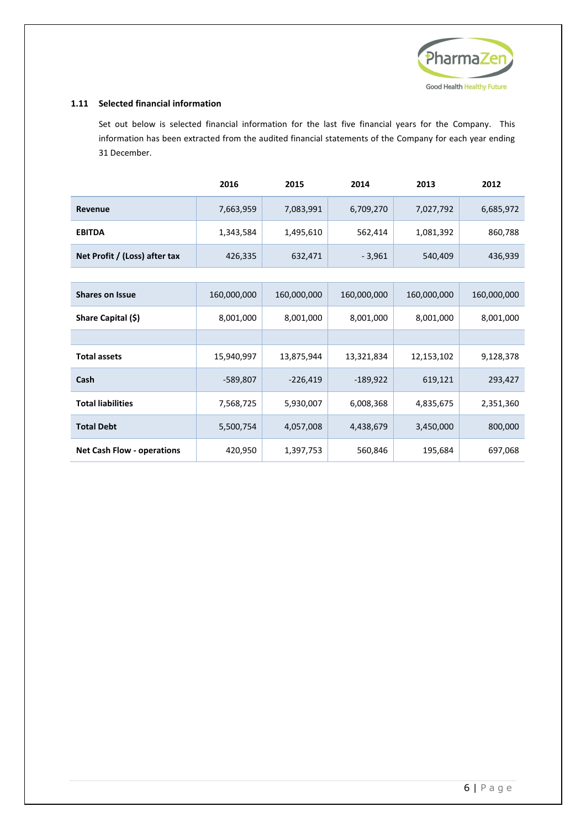

## <span id="page-8-0"></span>**1.11 Selected financial information**

Set out below is selected financial information for the last five financial years for the Company. This information has been extracted from the audited financial statements of the Company for each year ending 31 December.

|                               | 2016      | 2015      | 2014      | 2013      | 2012      |
|-------------------------------|-----------|-----------|-----------|-----------|-----------|
| Revenue                       | 7,663,959 | 7,083,991 | 6,709,270 | 7,027,792 | 6,685,972 |
| <b>EBITDA</b>                 | 1,343,584 | 1,495,610 | 562,414   | 1,081,392 | 860,788   |
| Net Profit / (Loss) after tax | 426,335   | 632,471   | $-3,961$  | 540,409   | 436,939   |

| <b>Shares on Issue</b>            | 160,000,000 | 160,000,000 | 160,000,000 | 160,000,000 | 160,000,000 |
|-----------------------------------|-------------|-------------|-------------|-------------|-------------|
| Share Capital (\$)                | 8,001,000   | 8,001,000   | 8,001,000   | 8,001,000   | 8,001,000   |
|                                   |             |             |             |             |             |
| <b>Total assets</b>               | 15,940,997  | 13,875,944  | 13,321,834  | 12,153,102  | 9,128,378   |
| Cash                              | $-589,807$  | $-226,419$  | $-189,922$  | 619,121     | 293,427     |
| <b>Total liabilities</b>          | 7,568,725   | 5,930,007   | 6,008,368   | 4,835,675   | 2,351,360   |
| <b>Total Debt</b>                 | 5,500,754   | 4,057,008   | 4,438,679   | 3,450,000   | 800,000     |
| <b>Net Cash Flow - operations</b> | 420,950     | 1,397,753   | 560,846     | 195,684     | 697,068     |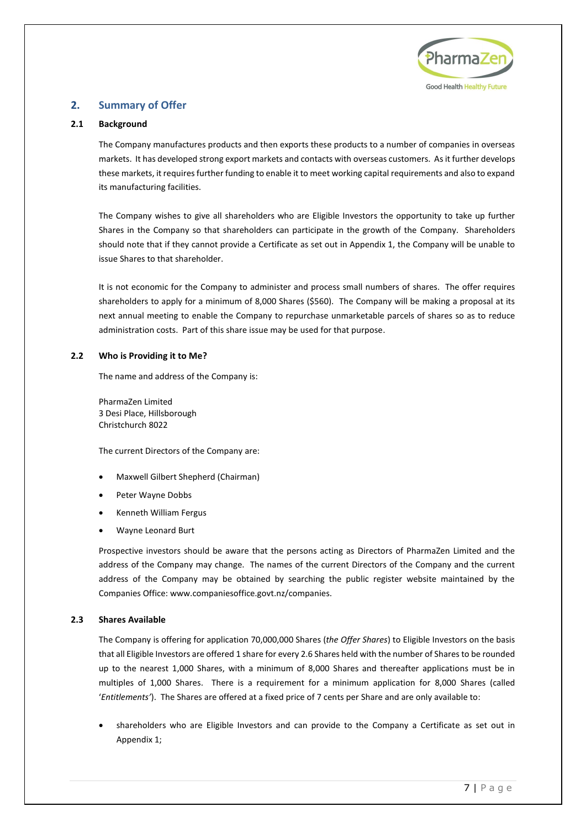

## <span id="page-9-0"></span>**2. Summary of Offer**

## <span id="page-9-1"></span>**2.1 Background**

The Company manufactures products and then exports these products to a number of companies in overseas markets. It has developed strong export markets and contacts with overseas customers. As it further develops these markets, it requires further funding to enable it to meet working capital requirements and also to expand its manufacturing facilities.

The Company wishes to give all shareholders who are Eligible Investors the opportunity to take up further Shares in the Company so that shareholders can participate in the growth of the Company. Shareholders should note that if they cannot provide a Certificate as set out in Appendix 1, the Company will be unable to issue Shares to that shareholder.

It is not economic for the Company to administer and process small numbers of shares. The offer requires shareholders to apply for a minimum of 8,000 Shares (\$560). The Company will be making a proposal at its next annual meeting to enable the Company to repurchase unmarketable parcels of shares so as to reduce administration costs. Part of this share issue may be used for that purpose.

## <span id="page-9-2"></span>**2.2 Who is Providing it to Me?**

The name and address of the Company is:

PharmaZen Limited 3 Desi Place, Hillsborough Christchurch 8022

The current Directors of the Company are:

- Maxwell Gilbert Shepherd (Chairman)
- Peter Wayne Dobbs
- Kenneth William Fergus
- Wayne Leonard Burt

Prospective investors should be aware that the persons acting as Directors of PharmaZen Limited and the address of the Company may change. The names of the current Directors of the Company and the current address of the Company may be obtained by searching the public register website maintained by the Companies Office: www.companiesoffice.govt.nz/companies.

## <span id="page-9-3"></span>**2.3 Shares Available**

The Company is offering for application 70,000,000 Shares (*the Offer Shares*) to Eligible Investors on the basis that all Eligible Investors are offered 1 share for every 2.6 Shares held with the number of Shares to be rounded up to the nearest 1,000 Shares, with a minimum of 8,000 Shares and thereafter applications must be in multiples of 1,000 Shares. There is a requirement for a minimum application for 8,000 Shares (called '*Entitlements'*). The Shares are offered at a fixed price of 7 cents per Share and are only available to:

• shareholders who are Eligible Investors and can provide to the Company a Certificate as set out in Appendix 1;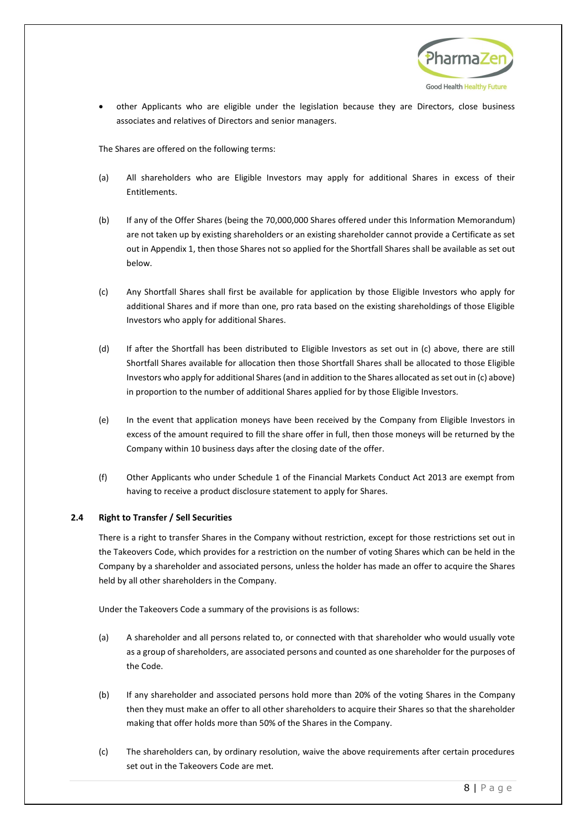

• other Applicants who are eligible under the legislation because they are Directors, close business associates and relatives of Directors and senior managers.

The Shares are offered on the following terms:

- <span id="page-10-1"></span>(a) All shareholders who are Eligible Investors may apply for additional Shares in excess of their **Entitlements**
- (b) If any of the Offer Shares (being the 70,000,000 Shares offered under this Information Memorandum) are not taken up by existing shareholders or an existing shareholder cannot provide a Certificate as set out in Appendix 1, then those Shares not so applied for the Shortfall Shares shall be available as set out below.
- (c) Any Shortfall Shares shall first be available for application by those Eligible Investors who apply for additional Shares and if more than one, pro rata based on the existing shareholdings of those Eligible Investors who apply for additional Shares.
- (d) If after the Shortfall has been distributed to Eligible Investors as set out in (c) above, there are still Shortfall Shares available for allocation then those Shortfall Shares shall be allocated to those Eligible Investors who apply for additional Shares (and in addition to the Shares allocated as set out in (c) above) in proportion to the number of additional Shares applied for by those Eligible Investors.
- (e) In the event that application moneys have been received by the Company from Eligible Investors in excess of the amount required to fill the share offer in full, then those moneys will be returned by the Company within 10 business days after the closing date of the offer.
- (f) Other Applicants who under Schedule 1 of the Financial Markets Conduct Act 2013 are exempt from having to receive a product disclosure statement to apply for Shares.

## <span id="page-10-0"></span>**2.4 Right to Transfer / Sell Securities**

There is a right to transfer Shares in the Company without restriction, except for those restrictions set out in the Takeovers Code, which provides for a restriction on the number of voting Shares which can be held in the Company by a shareholder and associated persons, unless the holder has made an offer to acquire the Shares held by all other shareholders in the Company.

Under the Takeovers Code a summary of the provisions is as follows:

- (a) A shareholder and all persons related to, or connected with that shareholder who would usually vote as a group of shareholders, are associated persons and counted as one shareholder for the purposes of the Code.
- (b) If any shareholder and associated persons hold more than 20% of the voting Shares in the Company then they must make an offer to all other shareholders to acquire their Shares so that the shareholder making that offer holds more than 50% of the Shares in the Company.
- (c) The shareholders can, by ordinary resolution, waive the above requirements after certain procedures set out in the Takeovers Code are met.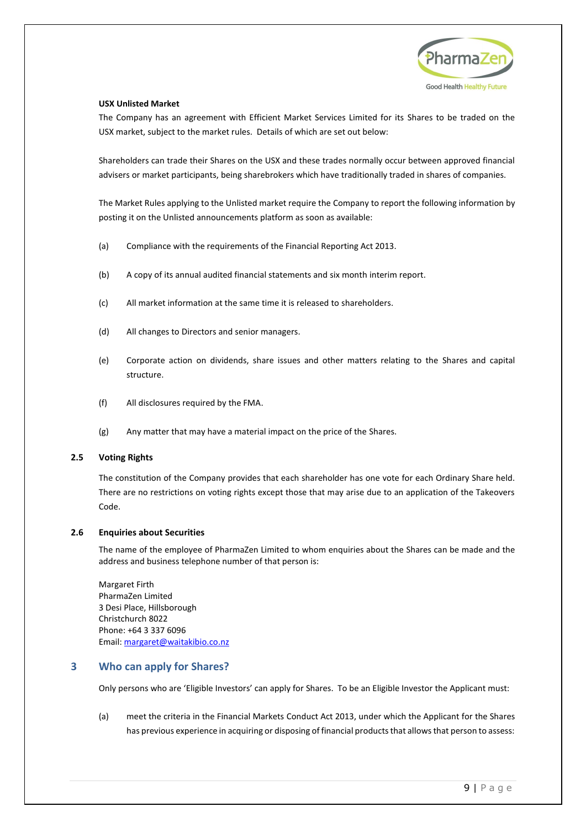

#### **USX Unlisted Market**

The Company has an agreement with Efficient Market Services Limited for its Shares to be traded on the USX market, subject to the market rules. Details of which are set out below:

Shareholders can trade their Shares on the USX and these trades normally occur between approved financial advisers or market participants, being sharebrokers which have traditionally traded in shares of companies.

The Market Rules applying to the Unlisted market require the Company to report the following information by posting it on the Unlisted announcements platform as soon as available:

- (a) Compliance with the requirements of the Financial Reporting Act 2013.
- (b) A copy of its annual audited financial statements and six month interim report.
- (c) All market information at the same time it is released to shareholders.
- (d) All changes to Directors and senior managers.
- (e) Corporate action on dividends, share issues and other matters relating to the Shares and capital structure.
- (f) All disclosures required by the FMA.
- (g) Any matter that may have a material impact on the price of the Shares.

#### <span id="page-11-0"></span>**2.5 Voting Rights**

The constitution of the Company provides that each shareholder has one vote for each Ordinary Share held. There are no restrictions on voting rights except those that may arise due to an application of the Takeovers Code.

#### <span id="page-11-1"></span>**2.6 Enquiries about Securities**

The name of the employee of PharmaZen Limited to whom enquiries about the Shares can be made and the address and business telephone number of that person is:

Margaret Firth PharmaZen Limited 3 Desi Place, Hillsborough Christchurch 8022 Phone: +64 [3 337 6096](tel:+6433376096) Email: [margaret@waitakibio.co.nz](mailto:margaret@waitakibio.co.nz)

## <span id="page-11-2"></span>**3 Who can apply for Shares?**

Only persons who are 'Eligible Investors' can apply for Shares. To be an Eligible Investor the Applicant must:

(a) meet the criteria in the Financial Markets Conduct Act 2013, under which the Applicant for the Shares has previous experience in acquiring or disposing of financial products that allows that person to assess: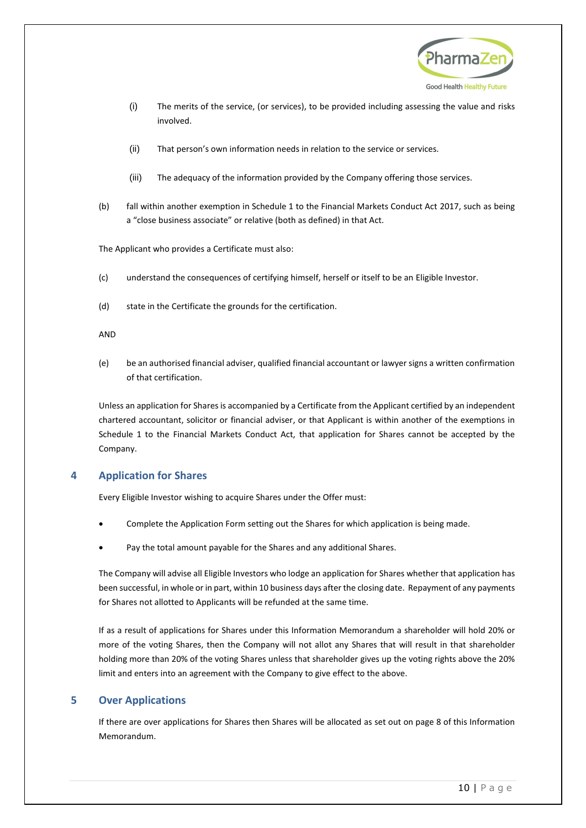

- (i) The merits of the service, (or services), to be provided including assessing the value and risks involved.
- (ii) That person's own information needs in relation to the service or services.
- (iii) The adequacy of the information provided by the Company offering those services.
- (b) fall within another exemption in Schedule 1 to the Financial Markets Conduct Act 2017, such as being a "close business associate" or relative (both as defined) in that Act.

The Applicant who provides a Certificate must also:

- (c) understand the consequences of certifying himself, herself or itself to be an Eligible Investor.
- (d) state in the Certificate the grounds for the certification.

#### AND

(e) be an authorised financial adviser, qualified financial accountant or lawyer signs a written confirmation of that certification.

Unless an application for Sharesis accompanied by a Certificate from the Applicant certified by an independent chartered accountant, solicitor or financial adviser, or that Applicant is within another of the exemptions in Schedule 1 to the Financial Markets Conduct Act, that application for Shares cannot be accepted by the Company.

## <span id="page-12-2"></span><span id="page-12-0"></span>**4 Application for Shares**

Every Eligible Investor wishing to acquire Shares under the Offer must:

- Complete the Application Form setting out the Shares for which application is being made.
- Pay the total amount payable for the Shares and any additional Shares.

The Company will advise all Eligible Investors who lodge an application for Shares whether that application has been successful, in whole or in part, within 10 business days after the closing date. Repayment of any payments for Shares not allotted to Applicants will be refunded at the same time.

If as a result of applications for Shares under this Information Memorandum a shareholder will hold 20% or more of the voting Shares, then the Company will not allot any Shares that will result in that shareholder holding more than 20% of the voting Shares unless that shareholder gives up the voting rights above the 20% limit and enters into an agreement with the Company to give effect to the above.

## <span id="page-12-1"></span>**5 Over Applications**

If there are over applications for Shares then Shares will be allocated as set out on pag[e 8](#page-10-1) of this Information Memorandum.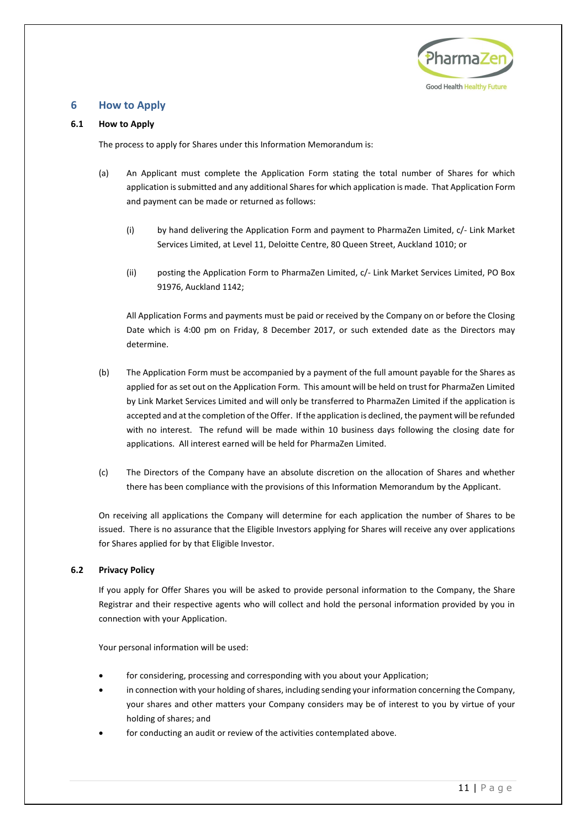

## <span id="page-13-0"></span>**6 How to Apply**

## <span id="page-13-1"></span>**6.1 How to Apply**

The process to apply for Shares under this Information Memorandum is:

- (a) An Applicant must complete the Application Form stating the total number of Shares for which application is submitted and any additional Shares for which application is made. That Application Form and payment can be made or returned as follows:
	- (i) by hand delivering the Application Form and payment to PharmaZen Limited, c/- Link Market Services Limited, at Level 11, Deloitte Centre, 80 Queen Street, Auckland 1010; or
	- (ii) posting the Application Form to PharmaZen Limited, c/- Link Market Services Limited, PO Box 91976, Auckland 1142;

All Application Forms and payments must be paid or received by the Company on or before the Closing Date which is 4:00 pm on Friday, 8 December 2017, or such extended date as the Directors may determine.

- (b) The Application Form must be accompanied by a payment of the full amount payable for the Shares as applied for as set out on the Application Form. This amount will be held on trust for PharmaZen Limited by Link Market Services Limited and will only be transferred to PharmaZen Limited if the application is accepted and at the completion of the Offer. If the application is declined, the payment will be refunded with no interest. The refund will be made within 10 business days following the closing date for applications. All interest earned will be held for PharmaZen Limited.
- (c) The Directors of the Company have an absolute discretion on the allocation of Shares and whether there has been compliance with the provisions of this Information Memorandum by the Applicant.

On receiving all applications the Company will determine for each application the number of Shares to be issued. There is no assurance that the Eligible Investors applying for Shares will receive any over applications for Shares applied for by that Eligible Investor.

## <span id="page-13-2"></span>**6.2 Privacy Policy**

If you apply for Offer Shares you will be asked to provide personal information to the Company, the Share Registrar and their respective agents who will collect and hold the personal information provided by you in connection with your Application.

Your personal information will be used:

- for considering, processing and corresponding with you about your Application;
- in connection with your holding of shares, including sending your information concerning the Company, your shares and other matters your Company considers may be of interest to you by virtue of your holding of shares; and
- for conducting an audit or review of the activities contemplated above.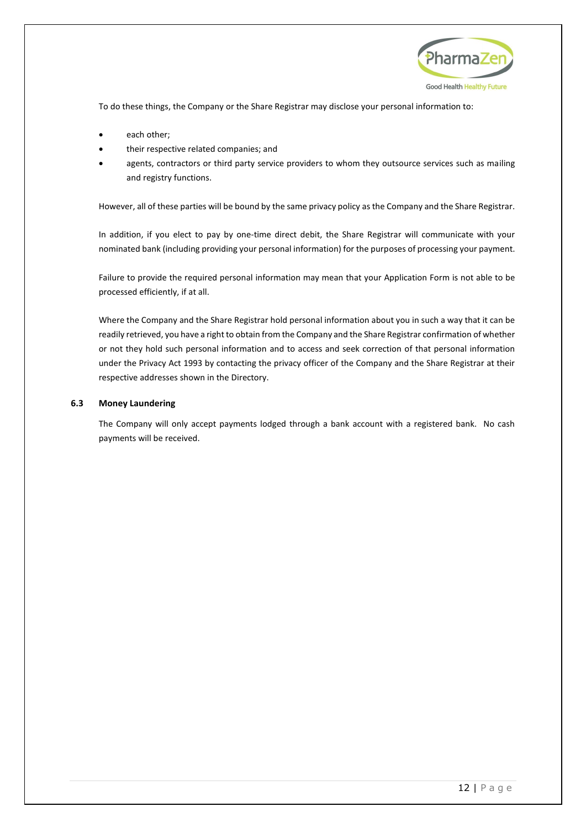

To do these things, the Company or the Share Registrar may disclose your personal information to:

- each other;
- their respective related companies; and
- agents, contractors or third party service providers to whom they outsource services such as mailing and registry functions.

However, all of these parties will be bound by the same privacy policy as the Company and the Share Registrar.

In addition, if you elect to pay by one-time direct debit, the Share Registrar will communicate with your nominated bank (including providing your personal information) for the purposes of processing your payment.

Failure to provide the required personal information may mean that your Application Form is not able to be processed efficiently, if at all.

Where the Company and the Share Registrar hold personal information about you in such a way that it can be readily retrieved, you have a right to obtain from the Company and the Share Registrar confirmation of whether or not they hold such personal information and to access and seek correction of that personal information under the Privacy Act 1993 by contacting the privacy officer of the Company and the Share Registrar at their respective addresses shown in the Directory.

## <span id="page-14-0"></span>**6.3 Money Laundering**

The Company will only accept payments lodged through a bank account with a registered bank. No cash payments will be received.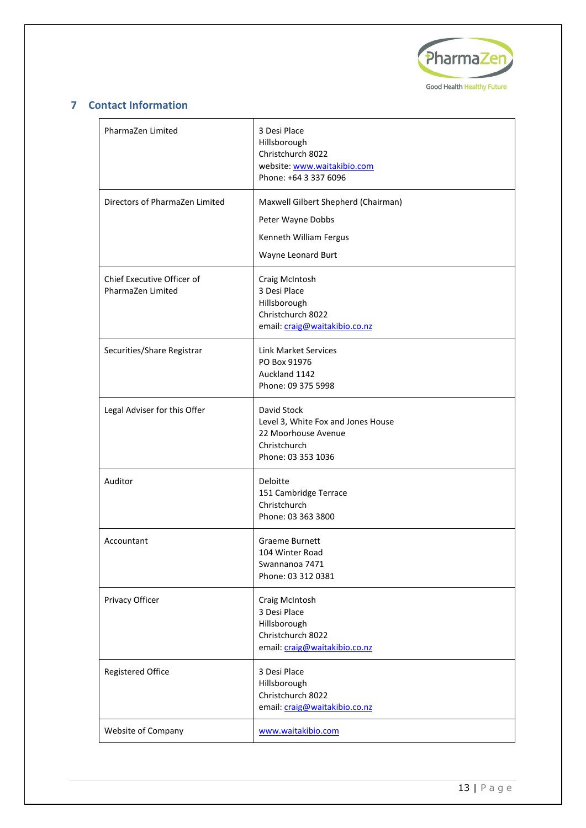

## <span id="page-15-0"></span>**7 Contact Information**

| PharmaZen Limited                               | 3 Desi Place<br>Hillsborough<br>Christchurch 8022<br>website: www.waitakibio.com<br>Phone: +64 3 337 6096      |
|-------------------------------------------------|----------------------------------------------------------------------------------------------------------------|
| Directors of PharmaZen Limited                  | Maxwell Gilbert Shepherd (Chairman)<br>Peter Wayne Dobbs<br>Kenneth William Fergus<br>Wayne Leonard Burt       |
| Chief Executive Officer of<br>PharmaZen Limited | Craig McIntosh<br>3 Desi Place<br>Hillsborough<br>Christchurch 8022<br>email: craig@waitakibio.co.nz           |
| Securities/Share Registrar                      | <b>Link Market Services</b><br>PO Box 91976<br>Auckland 1142<br>Phone: 09 375 5998                             |
| Legal Adviser for this Offer                    | David Stock<br>Level 3, White Fox and Jones House<br>22 Moorhouse Avenue<br>Christchurch<br>Phone: 03 353 1036 |
| Auditor                                         | Deloitte<br>151 Cambridge Terrace<br>Christchurch<br>Phone: 03 363 3800                                        |
| Accountant                                      | Graeme Burnett<br>104 Winter Road<br>Swannanoa 7471<br>Phone: 03 312 0381                                      |
| Privacy Officer                                 | Craig McIntosh<br>3 Desi Place<br>Hillsborough<br>Christchurch 8022<br>email: craig@waitakibio.co.nz           |
| <b>Registered Office</b>                        | 3 Desi Place<br>Hillsborough<br>Christchurch 8022<br>email: craig@waitakibio.co.nz                             |
| Website of Company                              | www.waitakibio.com                                                                                             |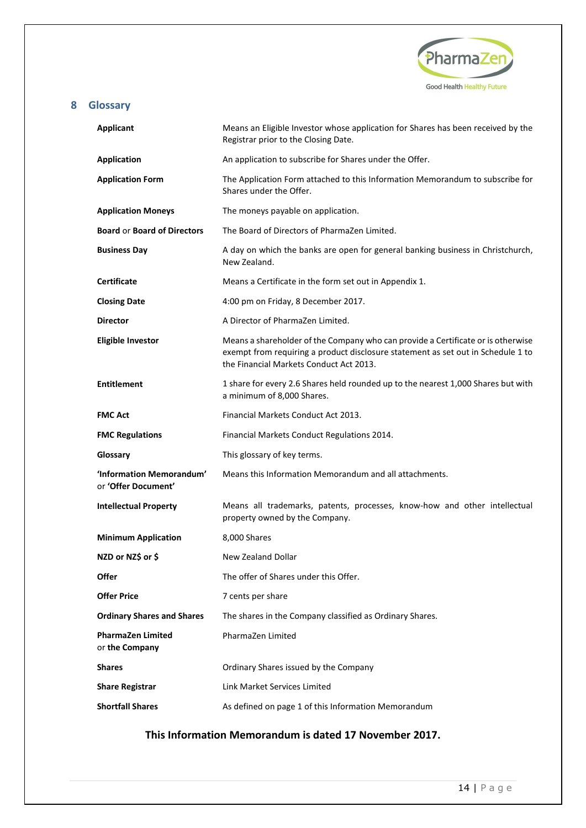

## <span id="page-16-0"></span>**8 Glossary**

| <b>Applicant</b>                                | Means an Eligible Investor whose application for Shares has been received by the<br>Registrar prior to the Closing Date.                                                                                        |
|-------------------------------------------------|-----------------------------------------------------------------------------------------------------------------------------------------------------------------------------------------------------------------|
| <b>Application</b>                              | An application to subscribe for Shares under the Offer.                                                                                                                                                         |
| <b>Application Form</b>                         | The Application Form attached to this Information Memorandum to subscribe for<br>Shares under the Offer.                                                                                                        |
| <b>Application Moneys</b>                       | The moneys payable on application.                                                                                                                                                                              |
| <b>Board or Board of Directors</b>              | The Board of Directors of PharmaZen Limited.                                                                                                                                                                    |
| <b>Business Day</b>                             | A day on which the banks are open for general banking business in Christchurch,<br>New Zealand.                                                                                                                 |
| <b>Certificate</b>                              | Means a Certificate in the form set out in Appendix 1.                                                                                                                                                          |
| <b>Closing Date</b>                             | 4:00 pm on Friday, 8 December 2017.                                                                                                                                                                             |
| <b>Director</b>                                 | A Director of PharmaZen Limited.                                                                                                                                                                                |
| <b>Eligible Investor</b>                        | Means a shareholder of the Company who can provide a Certificate or is otherwise<br>exempt from requiring a product disclosure statement as set out in Schedule 1 to<br>the Financial Markets Conduct Act 2013. |
| <b>Entitlement</b>                              | 1 share for every 2.6 Shares held rounded up to the nearest 1,000 Shares but with<br>a minimum of 8,000 Shares.                                                                                                 |
| <b>FMC Act</b>                                  | Financial Markets Conduct Act 2013.                                                                                                                                                                             |
| <b>FMC Regulations</b>                          | Financial Markets Conduct Regulations 2014.                                                                                                                                                                     |
| Glossary                                        | This glossary of key terms.                                                                                                                                                                                     |
| 'Information Memorandum'<br>or 'Offer Document' | Means this Information Memorandum and all attachments.                                                                                                                                                          |
| <b>Intellectual Property</b>                    | Means all trademarks, patents, processes, know-how and other intellectual<br>property owned by the Company.                                                                                                     |
| <b>Minimum Application</b>                      | 8,000 Shares                                                                                                                                                                                                    |
| NZD or NZ\$ or \$                               | New Zealand Dollar                                                                                                                                                                                              |
| <b>Offer</b>                                    | The offer of Shares under this Offer.                                                                                                                                                                           |
| <b>Offer Price</b>                              | 7 cents per share                                                                                                                                                                                               |
| <b>Ordinary Shares and Shares</b>               | The shares in the Company classified as Ordinary Shares.                                                                                                                                                        |
| <b>PharmaZen Limited</b><br>or the Company      | PharmaZen Limited                                                                                                                                                                                               |
| <b>Shares</b>                                   | Ordinary Shares issued by the Company                                                                                                                                                                           |
| <b>Share Registrar</b>                          | Link Market Services Limited                                                                                                                                                                                    |
| <b>Shortfall Shares</b>                         | As defined on page 1 of this Information Memorandum                                                                                                                                                             |

## **This Information Memorandum is dated 17 November 2017.**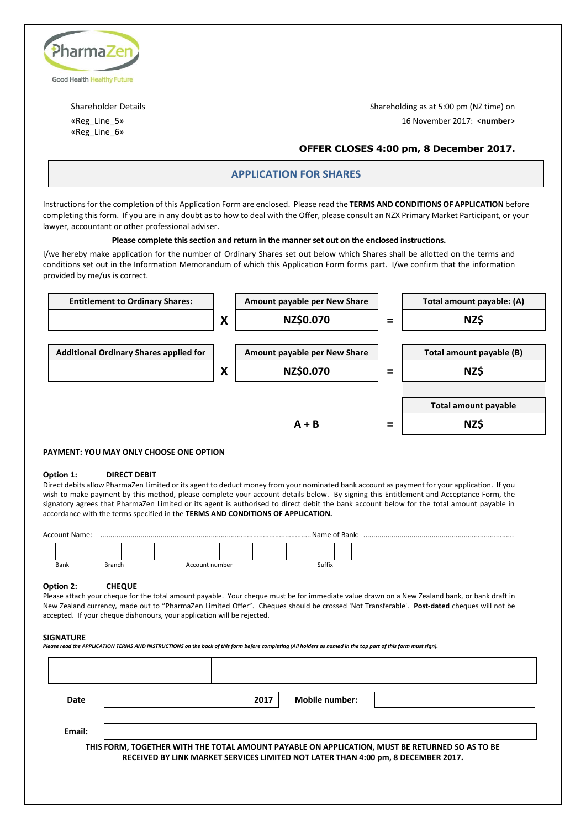

«Reg\_Line\_6»

Shareholder Details Shareholding as at 5:00 pm (NZ time) on «Reg\_Line\_5» 16 November 2017: <**number**>

## **OFFER CLOSES 4:00 pm, 8 December 2017.**

## **APPLICATION FOR SHARES**

Instructions for the completion of this Application Form are enclosed. Please read the **TERMS AND CONDITIONS OF APPLICATION** before completing this form. If you are in any doubt as to how to deal with the Offer, please consult an NZX Primary Market Participant, or your lawyer, accountant or other professional adviser.

#### **Please complete this section and return in the manner set out on the enclosed instructions.**

I/we hereby make application for the number of Ordinary Shares set out below which Shares shall be allotted on the terms and conditions set out in the Information Memorandum of which this Application Form forms part. I/we confirm that the information provided by me/us is correct.



#### **PAYMENT: YOU MAY ONLY CHOOSE ONE OPTION**

#### **Option 1: DIRECT DEBIT**

Direct debits allow PharmaZen Limited or its agent to deduct money from your nominated bank account as payment for your application. If you wish to make payment by this method, please complete your account details below. By signing this Entitlement and Acceptance Form, the signatory agrees that PharmaZen Limited or its agent is authorised to direct debit the bank account below for the total amount payable in accordance with the terms specified in the **TERMS AND CONDITIONS OF APPLICATION.**

| <b>Account Name:</b> |        |                | Name of Bank: |
|----------------------|--------|----------------|---------------|
|                      |        |                |               |
| Bank                 | Branch | Account number | Suffix        |

#### **Option 2: CHEQUE**

Please attach your cheque for the total amount payable. Your cheque must be for immediate value drawn on a New Zealand bank, or bank draft in New Zealand currency, made out to "PharmaZen Limited Offer". Cheques should be crossed 'Not Transferable'. **Post-dated** cheques will not be accepted. If your cheque dishonours, your application will be rejected.

#### **SIGNATURE**

*Please read the APPLICATION TERMS AND INSTRUCTIONS on the back of this form before completing (All holders as named in the top part of this form must sign).*

| Date   | 2017 | Mobile number: |                                                                                                                                                                                     |
|--------|------|----------------|-------------------------------------------------------------------------------------------------------------------------------------------------------------------------------------|
| Email: |      |                |                                                                                                                                                                                     |
|        |      |                | THIS FORM, TOGETHER WITH THE TOTAL AMOUNT PAYABLE ON APPLICATION, MUST BE RETURNED SO AS TO BE<br>RECEIVED BY LINK MARKET SERVICES LIMITED NOT LATER THAN 4:00 pm, 8 DECEMBER 2017. |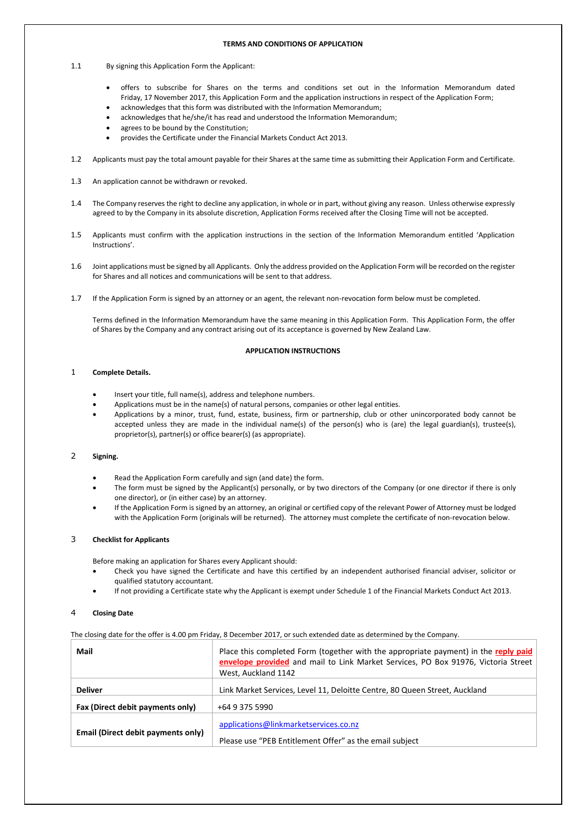#### **TERMS AND CONDITIONS OF APPLICATION**

- 1.1 By signing this Application Form the Applicant:
	- offers to subscribe for Shares on the terms and conditions set out in the Information Memorandum dated Friday, 17 November 2017, this Application Form and the application instructions in respect of the Application Form;
	- acknowledges that this form was distributed with the Information Memorandum;
	- acknowledges that he/she/it has read and understood the Information Memorandum;
	- agrees to be bound by the Constitution:
	- provides the Certificate under the Financial Markets Conduct Act 2013.
- 1.2 Applicants must pay the total amount payable for their Shares at the same time as submitting their Application Form and Certificate.
- 1.3 An application cannot be withdrawn or revoked.
- 1.4 The Company reserves the right to decline any application, in whole or in part, without giving any reason. Unless otherwise expressly agreed to by the Company in its absolute discretion, Application Forms received after the Closing Time will not be accepted.
- 1.5 Applicants must confirm with the application instructions in the section of the Information Memorandum entitled 'Application Instructions'.
- 1.6 Joint applications must be signed by all Applicants. Only the address provided on the Application Form will be recorded on the register for Shares and all notices and communications will be sent to that address.
- 1.7 If the Application Form is signed by an attorney or an agent, the relevant non-revocation form below must be completed.

Terms defined in the Information Memorandum have the same meaning in this Application Form. This Application Form, the offer of Shares by the Company and any contract arising out of its acceptance is governed by New Zealand Law.

#### **APPLICATION INSTRUCTIONS**

#### 1 **Complete Details.**

- Insert your title, full name(s), address and telephone numbers.
- Applications must be in the name(s) of natural persons, companies or other legal entities.
- Applications by a minor, trust, fund, estate, business, firm or partnership, club or other unincorporated body cannot be accepted unless they are made in the individual name(s) of the person(s) who is (are) the legal guardian(s), trustee(s), proprietor(s), partner(s) or office bearer(s) (as appropriate).

#### 2 **Signing.**

- Read the Application Form carefully and sign (and date) the form.
- The form must be signed by the Applicant(s) personally, or by two directors of the Company (or one director if there is only one director), or (in either case) by an attorney.
- If the Application Form is signed by an attorney, an original or certified copy of the relevant Power of Attorney must be lodged with the Application Form (originals will be returned). The attorney must complete the certificate of non-revocation below.

#### 3 **Checklist for Applicants**

Before making an application for Shares every Applicant should:

- Check you have signed the Certificate and have this certified by an independent authorised financial adviser, solicitor or qualified statutory accountant.
- If not providing a Certificate state why the Applicant is exempt under Schedule 1 of the Financial Markets Conduct Act 2013.

#### 4 **Closing Date**

The closing date for the offer is 4.00 pm Friday, 8 December 2017, or such extended date as determined by the Company.

| Mail                               | Place this completed Form (together with the appropriate payment) in the reply paid<br>envelope provided and mail to Link Market Services, PO Box 91976, Victoria Street<br>West, Auckland 1142 |
|------------------------------------|-------------------------------------------------------------------------------------------------------------------------------------------------------------------------------------------------|
| <b>Deliver</b>                     | Link Market Services, Level 11, Deloitte Centre, 80 Queen Street, Auckland                                                                                                                      |
| Fax (Direct debit payments only)   | +64 9 375 5990                                                                                                                                                                                  |
| Email (Direct debit payments only) | applications@linkmarketservices.co.nz<br>Please use "PEB Entitlement Offer" as the email subject                                                                                                |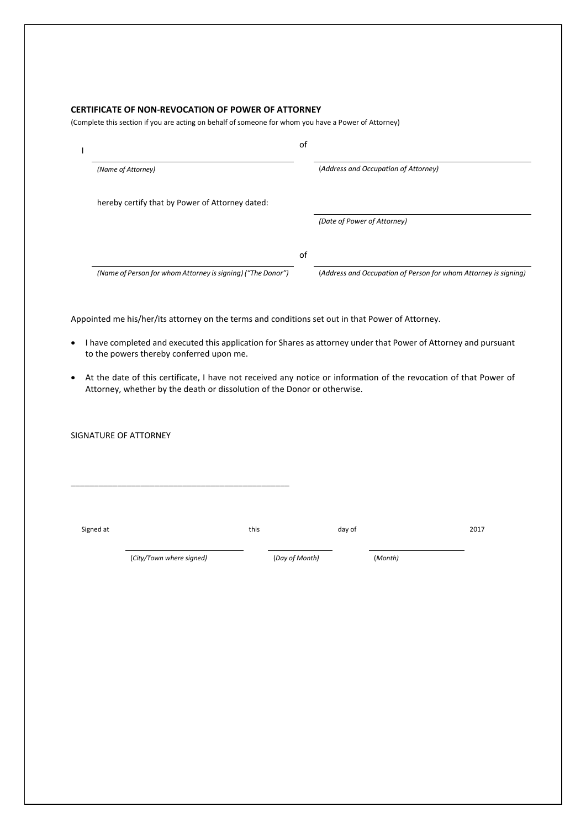## **CERTIFICATE OF NON-REVOCATION OF POWER OF ATTORNEY**

(Complete this section if you are acting on behalf of someone for whom you have a Power of Attorney)

|                                                             | оf |                                                                 |
|-------------------------------------------------------------|----|-----------------------------------------------------------------|
| (Name of Attorney)                                          |    | (Address and Occupation of Attorney)                            |
| hereby certify that by Power of Attorney dated:             |    |                                                                 |
|                                                             |    | (Date of Power of Attorney)                                     |
|                                                             | оf |                                                                 |
| (Name of Person for whom Attorney is signing) ("The Donor") |    | (Address and Occupation of Person for whom Attorney is signing) |

Appointed me his/her/its attorney on the terms and conditions set out in that Power of Attorney.

- I have completed and executed this application for Shares as attorney under that Power of Attorney and pursuant to the powers thereby conferred upon me.
- At the date of this certificate, I have not received any notice or information of the revocation of that Power of Attorney, whether by the death or dissolution of the Donor or otherwise.

SIGNATURE OF ATTORNEY

Signed at this this this this this day of 2017

(*City/Town where signed)* (*Day of Month)* (*Month)*

\_\_\_\_\_\_\_\_\_\_\_\_\_\_\_\_\_\_\_\_\_\_\_\_\_\_\_\_\_\_\_\_\_\_\_\_\_\_\_\_\_\_\_\_\_\_\_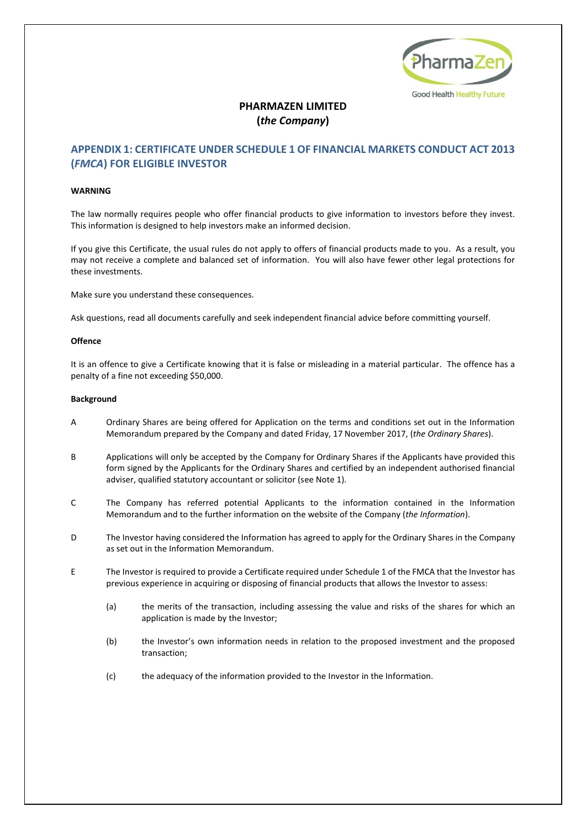

## **PHARMAZEN LIMITED (***the Company***)**

## **APPENDIX 1: CERTIFICATE UNDER SCHEDULE 1 OF FINANCIAL MARKETS CONDUCT ACT 2013 (***FMCA***) FOR ELIGIBLE INVESTOR**

#### **WARNING**

The law normally requires people who offer financial products to give information to investors before they invest. This information is designed to help investors make an informed decision.

If you give this Certificate, the usual rules do not apply to offers of financial products made to you. As a result, you may not receive a complete and balanced set of information. You will also have fewer other legal protections for these investments.

Make sure you understand these consequences.

Ask questions, read all documents carefully and seek independent financial advice before committing yourself.

#### **Offence**

It is an offence to give a Certificate knowing that it is false or misleading in a material particular. The offence has a penalty of a fine not exceeding \$50,000.

#### **Background**

- A Ordinary Shares are being offered for Application on the terms and conditions set out in the Information Memorandum prepared by the Company and dated Friday, 17 November 2017, (*the Ordinary Shares*).
- B Applications will only be accepted by the Company for Ordinary Shares if the Applicants have provided this form signed by the Applicants for the Ordinary Shares and certified by an independent authorised financial adviser, qualified statutory accountant or solicitor (see Note 1).
- C The Company has referred potential Applicants to the information contained in the Information Memorandum and to the further information on the website of the Company (*the Information*).
- D The Investor having considered the Information has agreed to apply for the Ordinary Shares in the Company as set out in the Information Memorandum.
- E The Investor is required to provide a Certificate required under Schedule 1 of the FMCA that the Investor has previous experience in acquiring or disposing of financial products that allows the Investor to assess:
	- (a) the merits of the transaction, including assessing the value and risks of the shares for which an application is made by the Investor;
	- (b) the Investor's own information needs in relation to the proposed investment and the proposed transaction;
	- (c) the adequacy of the information provided to the Investor in the Information.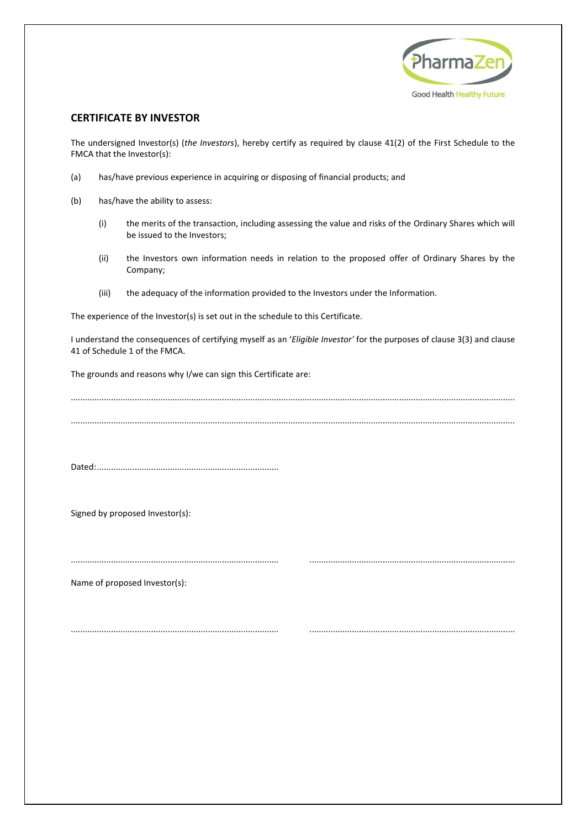

## **CERTIFICATE BY INVESTOR**

The undersigned Investor(s) (*the Investors*), hereby certify as required by clause 41(2) of the First Schedule to the FMCA that the Investor(s):

- (a) has/have previous experience in acquiring or disposing of financial products; and
- (b) has/have the ability to assess:
	- (i) the merits of the transaction, including assessing the value and risks of the Ordinary Shares which will be issued to the Investors;
	- (ii) the Investors own information needs in relation to the proposed offer of Ordinary Shares by the Company;
	- (iii) the adequacy of the information provided to the Investors under the Information.

The experience of the Investor(s) is set out in the schedule to this Certificate.

I understand the consequences of certifying myself as an '*Eligible Investor'* for the purposes of clause 3(3) and clause 41 of Schedule 1 of the FMCA.

The grounds and reasons why I/we can sign this Certificate are:

............................................................................................................................................................................................ ............................................................................................................................................................................................

........................................................................................ .......................................................................................

........................................................................................ .......................................................................................

Dated:.............................................................................

Signed by proposed Investor(s):

Name of proposed Investor(s):